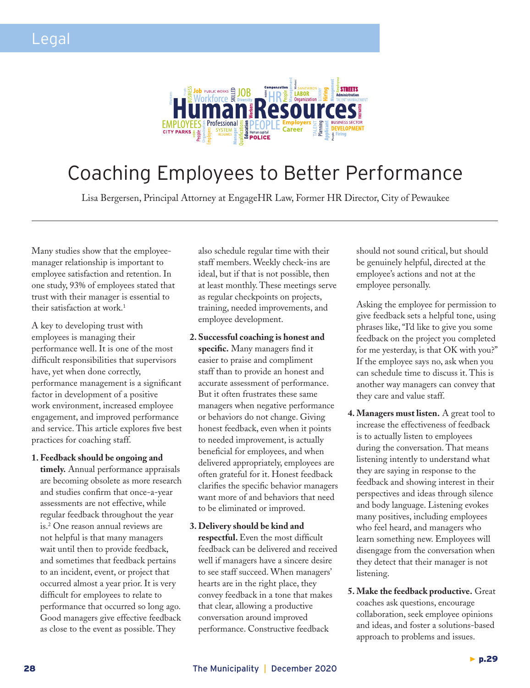

# Coaching Employees to Better Performance

Lisa Bergersen, Principal Attorney at EngageHR Law, Former HR Director, City of Pewaukee

Many studies show that the employeemanager relationship is important to employee satisfaction and retention. In one study, 93% of employees stated that trust with their manager is essential to their satisfaction at work.<sup>1</sup>

A key to developing trust with employees is managing their performance well. It is one of the most difficult responsibilities that supervisors have, yet when done correctly, performance management is a significant factor in development of a positive work environment, increased employee engagement, and improved performance and service. This article explores five best practices for coaching staff.

**1. Feedback should be ongoing and** 

**timely.** Annual performance appraisals are becoming obsolete as more research and studies confirm that once-a-year assessments are not effective, while regular feedback throughout the year is.2 One reason annual reviews are not helpful is that many managers wait until then to provide feedback, and sometimes that feedback pertains to an incident, event, or project that occurred almost a year prior. It is very difficult for employees to relate to performance that occurred so long ago. Good managers give effective feedback as close to the event as possible. They

also schedule regular time with their staff members. Weekly check-ins are ideal, but if that is not possible, then at least monthly. These meetings serve as regular checkpoints on projects, training, needed improvements, and employee development.

- **2. Successful coaching is honest and specific.** Many managers find it easier to praise and compliment staff than to provide an honest and accurate assessment of performance. But it often frustrates these same managers when negative performance or behaviors do not change. Giving honest feedback, even when it points to needed improvement, is actually beneficial for employees, and when delivered appropriately, employees are often grateful for it. Honest feedback clarifies the specific behavior managers want more of and behaviors that need to be eliminated or improved.
- **3. Delivery should be kind and respectful.** Even the most difficult feedback can be delivered and received well if managers have a sincere desire to see staff succeed. When managers' hearts are in the right place, they convey feedback in a tone that makes that clear, allowing a productive conversation around improved performance. Constructive feedback

should not sound critical, but should be genuinely helpful, directed at the employee's actions and not at the employee personally.

Asking the employee for permission to give feedback sets a helpful tone, using phrases like, "I'd like to give you some feedback on the project you completed for me yesterday, is that OK with you?" If the employee says no, ask when you can schedule time to discuss it. This is another way managers can convey that they care and value staff.

- **4. Managers must listen.** A great tool to increase the effectiveness of feedback is to actually listen to employees during the conversation. That means listening intently to understand what they are saying in response to the feedback and showing interest in their perspectives and ideas through silence and body language. Listening evokes many positives, including employees who feel heard, and managers who learn something new. Employees will disengage from the conversation when they detect that their manager is not listening.
- **5. Make the feedback productive.** Great coaches ask questions, encourage collaboration, seek employee opinions and ideas, and foster a solutions-based approach to problems and issues.